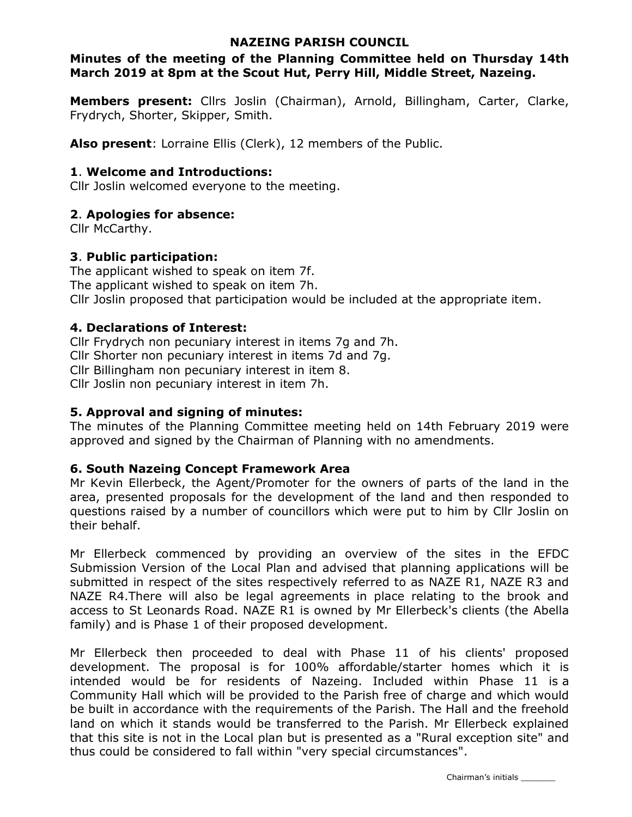### NAZEING PARISH COUNCIL

### Minutes of the meeting of the Planning Committee held on Thursday 14th March 2019 at 8pm at the Scout Hut, Perry Hill, Middle Street, Nazeing.

Members present: Cllrs Joslin (Chairman), Arnold, Billingham, Carter, Clarke, Frydrych, Shorter, Skipper, Smith.

Also present: Lorraine Ellis (Clerk), 12 members of the Public.

### 1. Welcome and Introductions:

Cllr Joslin welcomed everyone to the meeting.

### 2. Apologies for absence:

Cllr McCarthy.

### 3. Public participation:

The applicant wished to speak on item 7f. The applicant wished to speak on item 7h. Cllr Joslin proposed that participation would be included at the appropriate item.

### 4. Declarations of Interest:

Cllr Frydrych non pecuniary interest in items 7g and 7h. Cllr Shorter non pecuniary interest in items 7d and 7g. Cllr Billingham non pecuniary interest in item 8. Cllr Joslin non pecuniary interest in item 7h.

### 5. Approval and signing of minutes:

The minutes of the Planning Committee meeting held on 14th February 2019 were approved and signed by the Chairman of Planning with no amendments.

### 6. South Nazeing Concept Framework Area

Mr Kevin Ellerbeck, the Agent/Promoter for the owners of parts of the land in the area, presented proposals for the development of the land and then responded to questions raised by a number of councillors which were put to him by Cllr Joslin on their behalf.

Mr Ellerbeck commenced by providing an overview of the sites in the EFDC Submission Version of the Local Plan and advised that planning applications will be submitted in respect of the sites respectively referred to as NAZE R1, NAZE R3 and NAZE R4.There will also be legal agreements in place relating to the brook and access to St Leonards Road. NAZE R1 is owned by Mr Ellerbeck's clients (the Abella family) and is Phase 1 of their proposed development.

Mr Ellerbeck then proceeded to deal with Phase 11 of his clients' proposed development. The proposal is for 100% affordable/starter homes which it is intended would be for residents of Nazeing. Included within Phase 11 is a Community Hall which will be provided to the Parish free of charge and which would be built in accordance with the requirements of the Parish. The Hall and the freehold land on which it stands would be transferred to the Parish. Mr Ellerbeck explained that this site is not in the Local plan but is presented as a "Rural exception site" and thus could be considered to fall within "very special circumstances".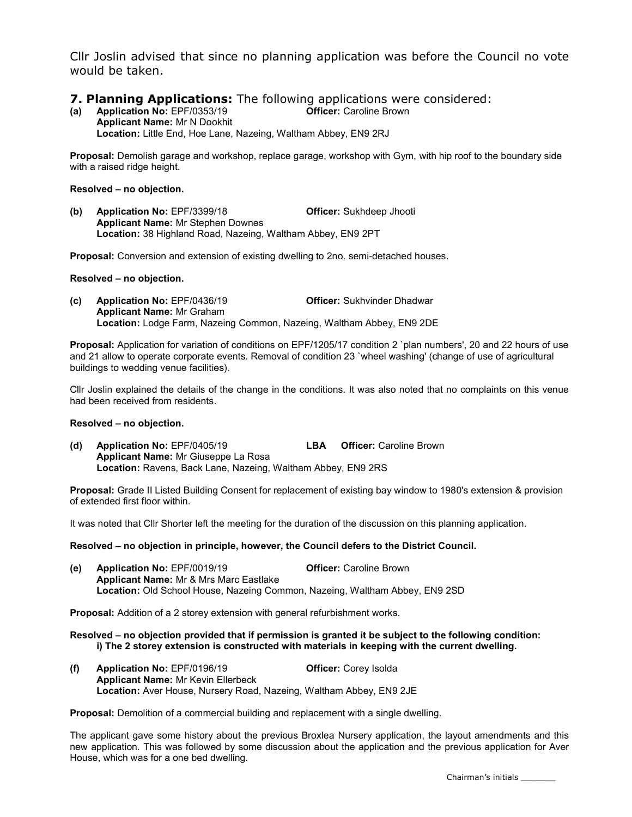Cllr Joslin advised that since no planning application was before the Council no vote would be taken.

### **7. Planning Applications:** The following applications were considered:

(a) Application No: EPF/0353/19 Officer: Caroline Brown Applicant Name: Mr N Dookhit Location: Little End, Hoe Lane, Nazeing, Waltham Abbey, EN9 2RJ

Proposal: Demolish garage and workshop, replace garage, workshop with Gym, with hip roof to the boundary side with a raised ridge height.

#### Resolved – no objection.

(b) Application No: EPF/3399/18 Officer: Sukhdeep Jhooti Applicant Name: Mr Stephen Downes Location: 38 Highland Road, Nazeing, Waltham Abbey, EN9 2PT

Proposal: Conversion and extension of existing dwelling to 2no. semi-detached houses.

#### Resolved – no objection.

(c) Application No: EPF/0436/19 Officer: Sukhvinder Dhadwar Applicant Name: Mr Graham Location: Lodge Farm, Nazeing Common, Nazeing, Waltham Abbey, EN9 2DE

Proposal: Application for variation of conditions on EPF/1205/17 condition 2 `plan numbers', 20 and 22 hours of use and 21 allow to operate corporate events. Removal of condition 23 `wheel washing' (change of use of agricultural buildings to wedding venue facilities).

Cllr Joslin explained the details of the change in the conditions. It was also noted that no complaints on this venue had been received from residents.

#### Resolved – no objection.

(d) Application No: EPF/0405/19 LBA Officer: Caroline Brown Applicant Name: Mr Giuseppe La Rosa Location: Ravens, Back Lane, Nazeing, Waltham Abbey, EN9 2RS

Proposal: Grade II Listed Building Consent for replacement of existing bay window to 1980's extension & provision of extended first floor within.

It was noted that Cllr Shorter left the meeting for the duration of the discussion on this planning application.

#### Resolved – no objection in principle, however, the Council defers to the District Council.

(e) Application No: EPF/0019/19 Officer: Caroline Brown Applicant Name: Mr & Mrs Marc Eastlake Location: Old School House, Nazeing Common, Nazeing, Waltham Abbey, EN9 2SD

Proposal: Addition of a 2 storey extension with general refurbishment works.

Resolved – no objection provided that if permission is granted it be subject to the following condition: i) The 2 storey extension is constructed with materials in keeping with the current dwelling.

(f) Application No: EPF/0196/19 Officer: Corey Isolda Applicant Name: Mr Kevin Ellerbeck Location: Aver House, Nursery Road, Nazeing, Waltham Abbey, EN9 2JE

Proposal: Demolition of a commercial building and replacement with a single dwelling.

The applicant gave some history about the previous Broxlea Nursery application, the layout amendments and this new application. This was followed by some discussion about the application and the previous application for Aver House, which was for a one bed dwelling.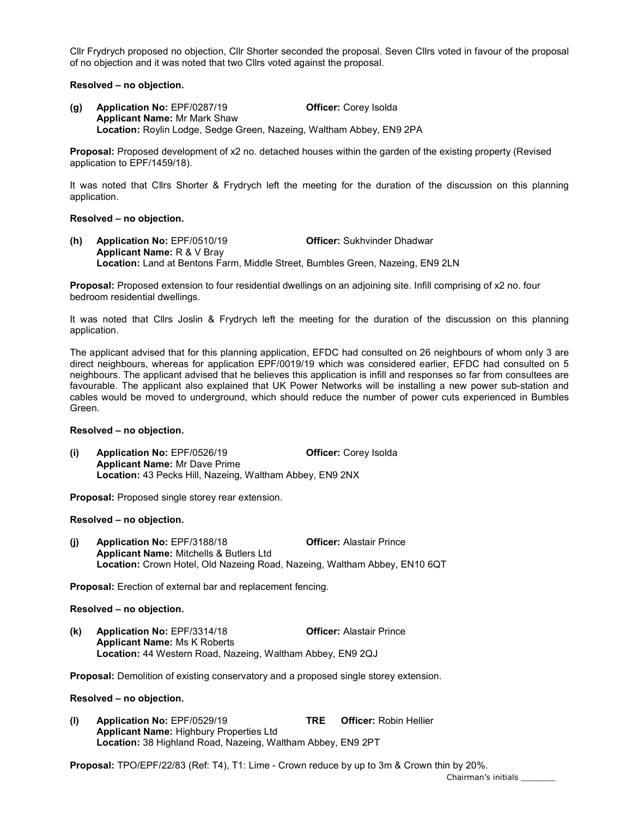Cllr Frydrych proposed no objection, Cllr Shorter seconded the proposal. Seven Cllrs voted in favour of the proposal of no objection and it was noted that two Cllrs voted against the proposal.

#### Resolved – no objection.

(g) Application No: EPF/0287/19 Officer: Corey Isolda Applicant Name: Mr Mark Shaw Location: Roylin Lodge, Sedge Green, Nazeing, Waltham Abbey, EN9 2PA

Proposal: Proposed development of x2 no. detached houses within the garden of the existing property (Revised application to EPF/1459/18).

It was noted that Cllrs Shorter & Frydrych left the meeting for the duration of the discussion on this planning application.

#### Resolved – no objection.

(h) Application No: EPF/0510/19 Officer: Sukhvinder Dhadwar Applicant Name: R & V Bray Location: Land at Bentons Farm, Middle Street, Bumbles Green, Nazeing, EN9 2LN

Proposal: Proposed extension to four residential dwellings on an adjoining site. Infill comprising of x2 no. four bedroom residential dwellings.

It was noted that Cllrs Joslin & Frydrych left the meeting for the duration of the discussion on this planning application.

The applicant advised that for this planning application, EFDC had consulted on 26 neighbours of whom only 3 are direct neighbours, whereas for application EPF/0019/19 which was considered earlier, EFDC had consulted on 5 neighbours. The applicant advised that he believes this application is infill and responses so far from consultees are favourable. The applicant also explained that UK Power Networks will be installing a new power sub-station and cables would be moved to underground, which should reduce the number of power cuts experienced in Bumbles Green.

#### Resolved – no objection.

(i) Application No: EPF/0526/19 Officer: Corey Isolda Applicant Name: Mr Dave Prime Location: 43 Pecks Hill, Nazeing, Waltham Abbey, EN9 2NX

Proposal: Proposed single storey rear extension.

#### Resolved – no objection.

(j) Application No: EPF/3188/18 Officer: Alastair Prince Applicant Name: Mitchells & Butlers Ltd Location: Crown Hotel, Old Nazeing Road, Nazeing, Waltham Abbey, EN10 6QT

Proposal: Erection of external bar and replacement fencing.

#### Resolved – no objection.

(k) Application No: EPF/3314/18 Officer: Alastair Prince Applicant Name: Ms K Roberts Location: 44 Western Road, Nazeing, Waltham Abbey, EN9 2QJ

Proposal: Demolition of existing conservatory and a proposed single storey extension.

#### Resolved – no objection.

(l) Application No: EPF/0529/19 TRE Officer: Robin Hellier Applicant Name: Highbury Properties Ltd Location: 38 Highland Road, Nazeing, Waltham Abbey, EN9 2PT

Proposal: TPO/EPF/22/83 (Ref: T4), T1: Lime - Crown reduce by up to 3m & Crown thin by 20%.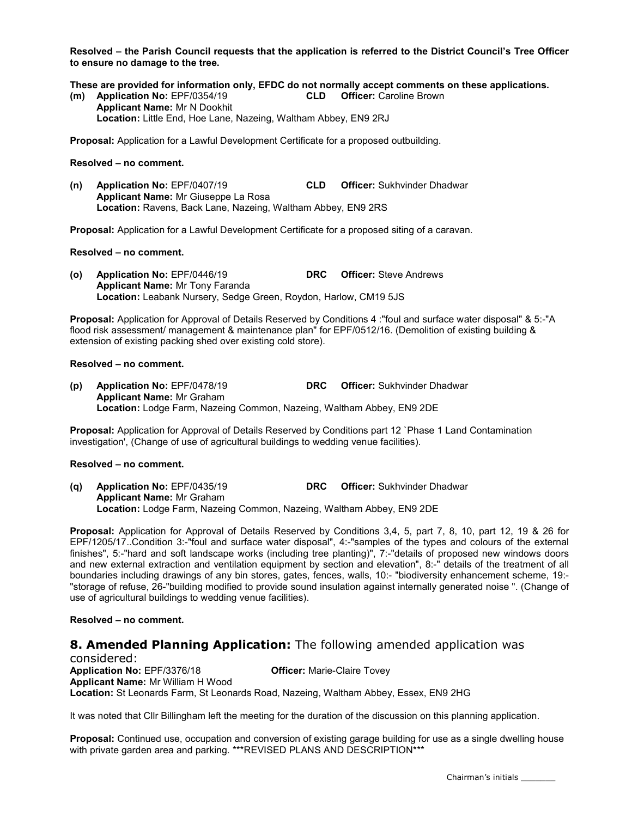Resolved – the Parish Council requests that the application is referred to the District Council's Tree Officer to ensure no damage to the tree.

These are provided for information only, EFDC do not normally accept comments on these applications.

(m) Application No: EPF/0354/19 CLD Officer: Caroline Brown Applicant Name: Mr N Dookhit Location: Little End, Hoe Lane, Nazeing, Waltham Abbey, EN9 2RJ

Proposal: Application for a Lawful Development Certificate for a proposed outbuilding.

#### Resolved – no comment.

(n) Application No: EPF/0407/19 CLD Officer: Sukhvinder Dhadwar Applicant Name: Mr Giuseppe La Rosa Location: Ravens, Back Lane, Nazeing, Waltham Abbey, EN9 2RS

Proposal: Application for a Lawful Development Certificate for a proposed siting of a caravan.

#### Resolved – no comment.

(o) Application No: EPF/0446/19 DRC Officer: Steve Andrews Applicant Name: Mr Tony Faranda Location: Leabank Nursery, Sedge Green, Roydon, Harlow, CM19 5JS

Proposal: Application for Approval of Details Reserved by Conditions 4 :"foul and surface water disposal" & 5:-"A flood risk assessment/ management & maintenance plan" for EPF/0512/16. (Demolition of existing building & extension of existing packing shed over existing cold store).

#### Resolved – no comment.

(p) Application No: EPF/0478/19 DRC Officer: Sukhvinder Dhadwar Applicant Name: Mr Graham Location: Lodge Farm, Nazeing Common, Nazeing, Waltham Abbey, EN9 2DE

Proposal: Application for Approval of Details Reserved by Conditions part 12 `Phase 1 Land Contamination investigation', (Change of use of agricultural buildings to wedding venue facilities).

#### Resolved – no comment.

(q) Application No: EPF/0435/19 DRC Officer: Sukhvinder Dhadwar Applicant Name: Mr Graham Location: Lodge Farm, Nazeing Common, Nazeing, Waltham Abbey, EN9 2DE

Proposal: Application for Approval of Details Reserved by Conditions 3,4, 5, part 7, 8, 10, part 12, 19 & 26 for EPF/1205/17..Condition 3:-"foul and surface water disposal", 4:-"samples of the types and colours of the external finishes", 5:-"hard and soft landscape works (including tree planting)", 7:-"details of proposed new windows doors and new external extraction and ventilation equipment by section and elevation", 8:-" details of the treatment of all boundaries including drawings of any bin stores, gates, fences, walls, 10:- "biodiversity enhancement scheme, 19:- "storage of refuse, 26-"building modified to provide sound insulation against internally generated noise ". (Change of use of agricultural buildings to wedding venue facilities).

#### Resolved – no comment.

## **8. Amended Planning Application:** The following amended application was

considered: Application No: EPF/3376/18 **Officer:** Marie-Claire Tovey Applicant Name: Mr William H Wood Location: St Leonards Farm, St Leonards Road, Nazeing, Waltham Abbey, Essex, EN9 2HG

It was noted that Cllr Billingham left the meeting for the duration of the discussion on this planning application.

Proposal: Continued use, occupation and conversion of existing garage building for use as a single dwelling house with private garden area and parking. \*\*\*REVISED PLANS AND DESCRIPTION\*\*\*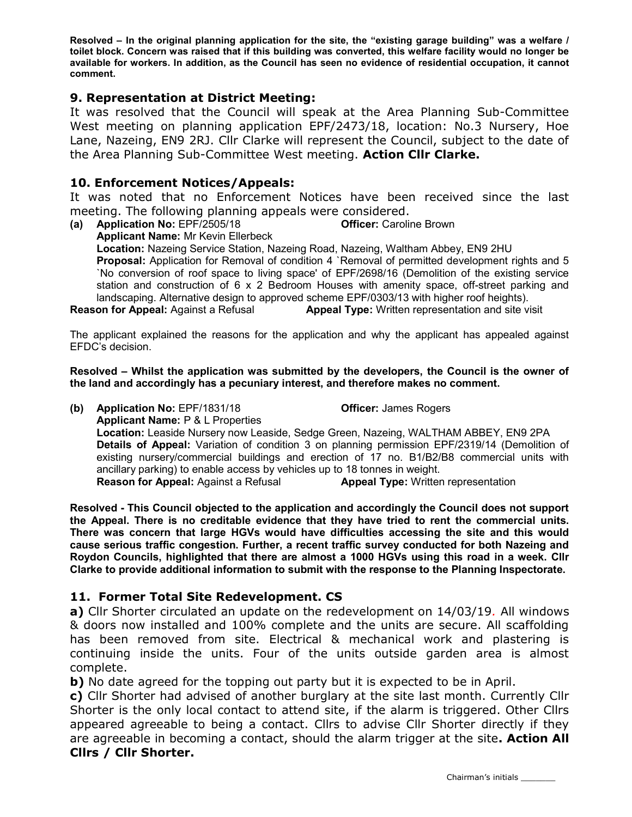Resolved – In the original planning application for the site, the "existing garage building" was a welfare / toilet block. Concern was raised that if this building was converted, this welfare facility would no longer be available for workers. In addition, as the Council has seen no evidence of residential occupation, it cannot comment.

### 9. Representation at District Meeting:

It was resolved that the Council will speak at the Area Planning Sub-Committee West meeting on planning application EPF/2473/18, location: No.3 Nursery, Hoe Lane, Nazeing, EN9 2RJ. Cllr Clarke will represent the Council, subject to the date of the Area Planning Sub-Committee West meeting. Action Cllr Clarke.

### 10. Enforcement Notices/Appeals:

It was noted that no Enforcement Notices have been received since the last meeting. The following planning appeals were considered.

(a) Application No: EPF/2505/18 Officer: Caroline Brown Applicant Name: Mr Kevin Ellerbeck Location: Nazeing Service Station, Nazeing Road, Nazeing, Waltham Abbey, EN9 2HU Proposal: Application for Removal of condition 4 `Removal of permitted development rights and 5 `No conversion of roof space to living space' of EPF/2698/16 (Demolition of the existing service

station and construction of 6 x 2 Bedroom Houses with amenity space, off-street parking and landscaping. Alternative design to approved scheme EPF/0303/13 with higher roof heights).

**Reason for Appeal:** Against a Refusal **Appeal Type:** Written representation and site visit

The applicant explained the reasons for the application and why the applicant has appealed against EFDC's decision.

Resolved – Whilst the application was submitted by the developers, the Council is the owner of the land and accordingly has a pecuniary interest, and therefore makes no comment.

(b) Application No: EPF/1831/18 Officer: James Rogers Applicant Name: P & L Properties Location: Leaside Nursery now Leaside, Sedge Green, Nazeing, WALTHAM ABBEY, EN9 2PA Details of Appeal: Variation of condition 3 on planning permission EPF/2319/14 (Demolition of existing nursery/commercial buildings and erection of 17 no. B1/B2/B8 commercial units with ancillary parking) to enable access by vehicles up to 18 tonnes in weight. **Reason for Appeal:** Against a Refusal **Appeal Type:** Written representation

Resolved - This Council objected to the application and accordingly the Council does not support the Appeal. There is no creditable evidence that they have tried to rent the commercial units. There was concern that large HGVs would have difficulties accessing the site and this would cause serious traffic congestion. Further, a recent traffic survey conducted for both Nazeing and Roydon Councils, highlighted that there are almost a 1000 HGVs using this road in a week. Cllr Clarke to provide additional information to submit with the response to the Planning Inspectorate.

### 11. Former Total Site Redevelopment. CS

a) Cllr Shorter circulated an update on the redevelopment on 14/03/19. All windows & doors now installed and 100% complete and the units are secure. All scaffolding has been removed from site. Electrical & mechanical work and plastering is continuing inside the units. Four of the units outside garden area is almost complete.

b) No date agreed for the topping out party but it is expected to be in April.

c) Cllr Shorter had advised of another burglary at the site last month. Currently Cllr Shorter is the only local contact to attend site, if the alarm is triggered. Other Cllrs appeared agreeable to being a contact. Cllrs to advise Cllr Shorter directly if they are agreeable in becoming a contact, should the alarm trigger at the site. **Action All** Cllrs / Cllr Shorter.